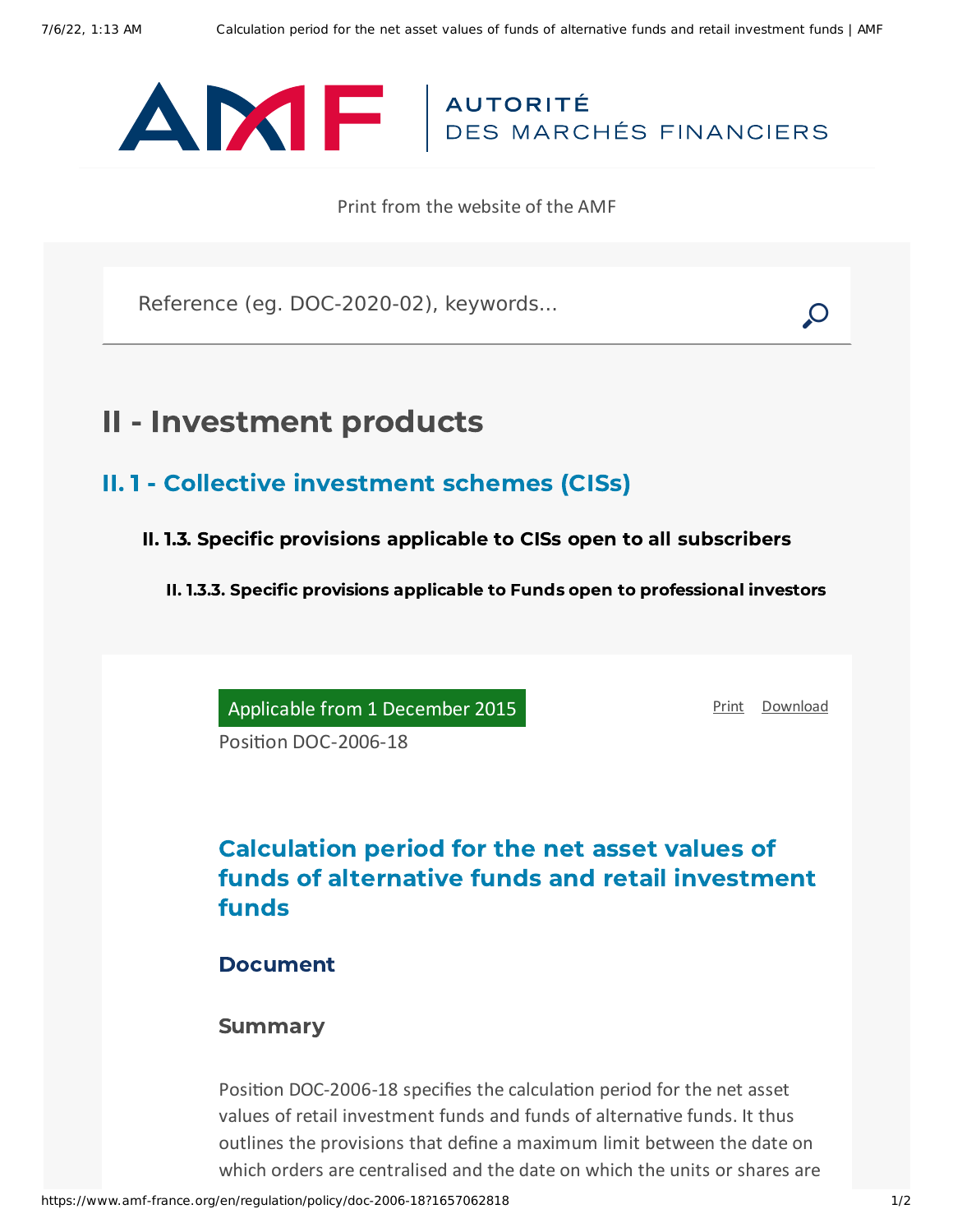

Print from the website of the AMF

Reference (eg. DOC-2020-02), keywords...

## II - Investment products

- II. 1 Collective investment schemes (CISs)
	- II. 1.3. Specific provisions applicable to CISs open to all subscribers

II. 1.3.3. Specific provisions applicable to Funds open to professional investors

Applicable from 1 December 2015

[Print](javascript:window.print()) [Download](https://www.amf-france.org/sites/default/files/pdf/62780/en/Calculation_period_for_the_net_asset_values_of_funds_of_alternative_funds_and_retail_investment_funds.pdf?1657062819)

Position DOC-2006-18

## Calculation period for the net asset values of funds of alternative funds and retail investment funds

## Document

## Summary

Position DOC-2006-18 specifies the calculation period for the net asset values of retail investment funds and funds of alternative funds. It thus outlines the provisions that define a maximum limit between the date on which orders are centralised and the date on which the units or shares are